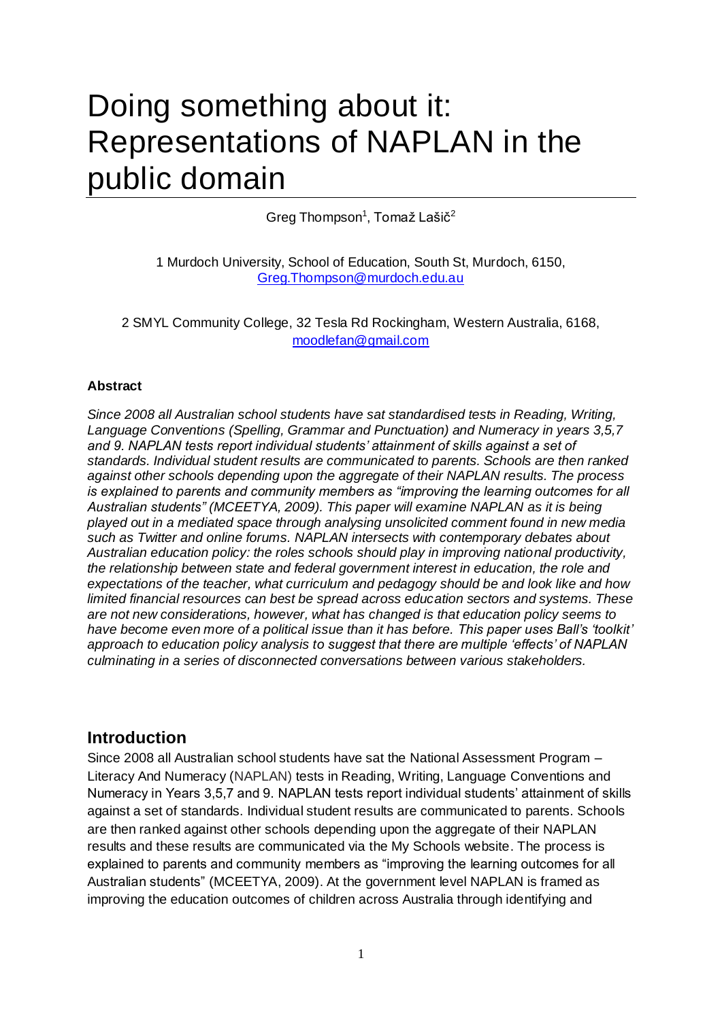# Doing something about it: Representations of NAPLAN in the public domain

Greg Thompson<sup>1</sup>, Tomaž Lašič<sup>2</sup>

1 Murdoch University, School of Education, South St, Murdoch, 6150, [Greg.Thompson@murdoch.edu.au](mailto:Greg.Thompson@murdoch.edu.au)

2 SMYL Community College, 32 Tesla Rd Rockingham, Western Australia, 6168, [moodlefan@gmail.com](mailto:moodlefan@gmail.com)

#### **Abstract**

*Since 2008 all Australian school students have sat standardised tests in Reading, Writing, Language Conventions (Spelling, Grammar and Punctuation) and Numeracy in years 3,5,7 and 9. NAPLAN tests report individual students" attainment of skills against a set of standards. Individual student results are communicated to parents. Schools are then ranked against other schools depending upon the aggregate of their NAPLAN results. The process is explained to parents and community members as "improving the learning outcomes for all Australian students" (MCEETYA, 2009). This paper will examine NAPLAN as it is being played out in a mediated space through analysing unsolicited comment found in new media such as Twitter and online forums. NAPLAN intersects with contemporary debates about Australian education policy: the roles schools should play in improving national productivity, the relationship between state and federal government interest in education, the role and expectations of the teacher, what curriculum and pedagogy should be and look like and how limited financial resources can best be spread across education sectors and systems. These are not new considerations, however, what has changed is that education policy seems to have become even more of a political issue than it has before. This paper uses Ball"s "toolkit" approach to education policy analysis to suggest that there are multiple "effects" of NAPLAN culminating in a series of disconnected conversations between various stakeholders.* 

### **Introduction**

Since 2008 all Australian school students have sat the National Assessment Program – Literacy And Numeracy (NAPLAN) tests in Reading, Writing, Language Conventions and Numeracy in Years 3,5,7 and 9. NAPLAN tests report individual students' attainment of skills against a set of standards. Individual student results are communicated to parents. Schools are then ranked against other schools depending upon the aggregate of their NAPLAN results and these results are communicated via the My Schools website. The process is explained to parents and community members as "improving the learning outcomes for all Australian students‖ (MCEETYA, 2009). At the government level NAPLAN is framed as improving the education outcomes of children across Australia through identifying and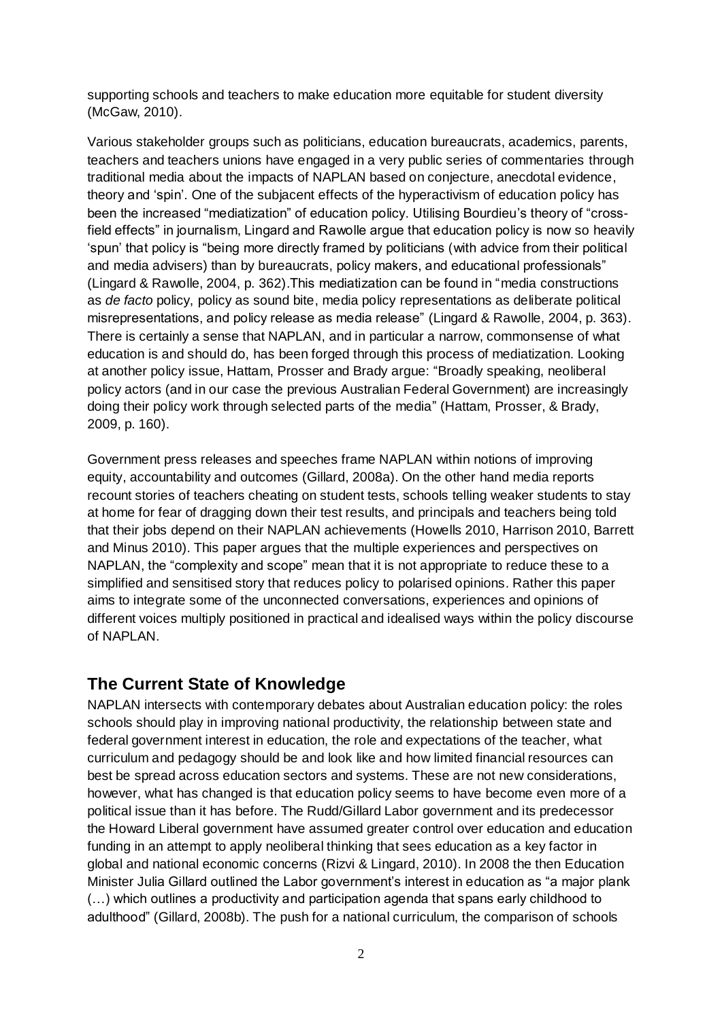supporting schools and teachers to make education more equitable for student diversity (McGaw, 2010).

Various stakeholder groups such as politicians, education bureaucrats, academics, parents, teachers and teachers unions have engaged in a very public series of commentaries through traditional media about the impacts of NAPLAN based on conjecture, anecdotal evidence, theory and 'spin'. One of the subjacent effects of the hyperactivism of education policy has been the increased "mediatization" of education policy. Utilising Bourdieu's theory of "crossfield effects" in journalism, Lingard and Rawolle argue that education policy is now so heavily ‗spun' that policy is ―being more directly framed by politicians (with advice from their political and media advisers) than by bureaucrats, policy makers, and educational professionals" (Lingard & Rawolle, 2004, p. 362). This mediatization can be found in "media constructions as *de facto* policy, policy as sound bite, media policy representations as deliberate political misrepresentations, and policy release as media release" (Lingard & Rawolle, 2004, p. 363). There is certainly a sense that NAPLAN, and in particular a narrow, commonsense of what education is and should do, has been forged through this process of mediatization. Looking at another policy issue, Hattam, Prosser and Brady argue: "Broadly speaking, neoliberal policy actors (and in our case the previous Australian Federal Government) are increasingly doing their policy work through selected parts of the media‖ (Hattam, Prosser, & Brady, 2009, p. 160).

Government press releases and speeches frame NAPLAN within notions of improving equity, accountability and outcomes (Gillard, 2008a). On the other hand media reports recount stories of teachers cheating on student tests, schools telling weaker students to stay at home for fear of dragging down their test results, and principals and teachers being told that their jobs depend on their NAPLAN achievements (Howells 2010, Harrison 2010, Barrett and Minus 2010). This paper argues that the multiple experiences and perspectives on NAPLAN, the "complexity and scope" mean that it is not appropriate to reduce these to a simplified and sensitised story that reduces policy to polarised opinions. Rather this paper aims to integrate some of the unconnected conversations, experiences and opinions of different voices multiply positioned in practical and idealised ways within the policy discourse of NAPLAN.

# **The Current State of Knowledge**

NAPLAN intersects with contemporary debates about Australian education policy: the roles schools should play in improving national productivity, the relationship between state and federal government interest in education, the role and expectations of the teacher, what curriculum and pedagogy should be and look like and how limited financial resources can best be spread across education sectors and systems. These are not new considerations, however, what has changed is that education policy seems to have become even more of a political issue than it has before. The Rudd/Gillard Labor government and its predecessor the Howard Liberal government have assumed greater control over education and education funding in an attempt to apply neoliberal thinking that sees education as a key factor in global and national economic concerns (Rizvi & Lingard, 2010). In 2008 the then Education Minister Julia Gillard outlined the Labor government's interest in education as "a major plank (…) which outlines a productivity and participation agenda that spans early childhood to adulthood‖ (Gillard, 2008b). The push for a national curriculum, the comparison of schools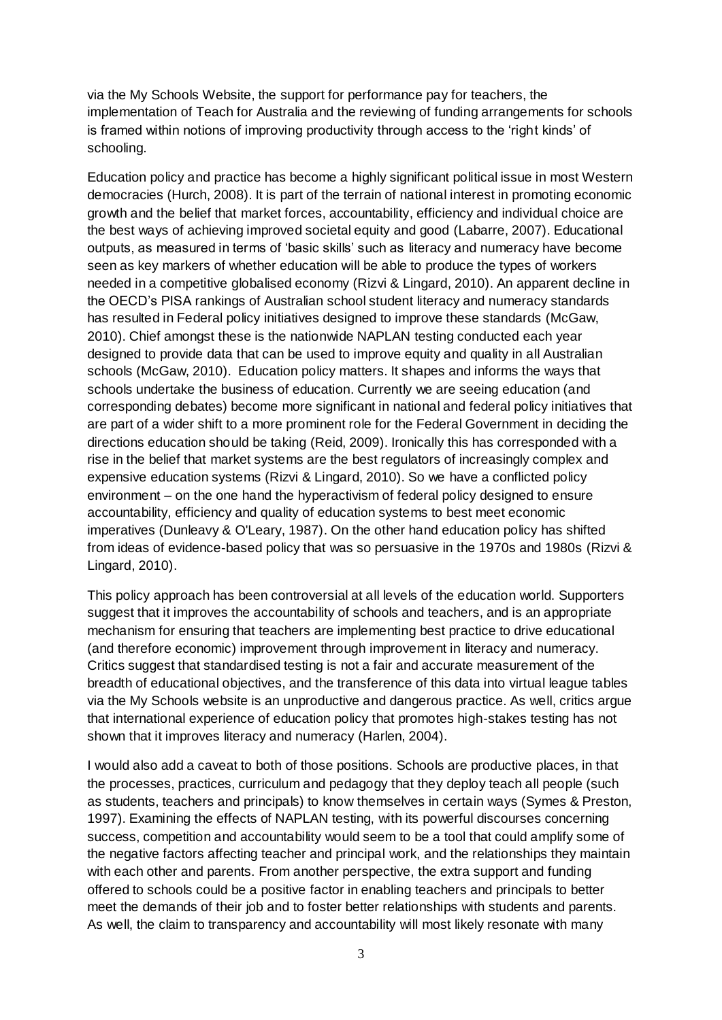via the My Schools Website, the support for performance pay for teachers, the implementation of Teach for Australia and the reviewing of funding arrangements for schools is framed within notions of improving productivity through access to the 'right kinds' of schooling.

Education policy and practice has become a highly significant political issue in most Western democracies (Hurch, 2008). It is part of the terrain of national interest in promoting economic growth and the belief that market forces, accountability, efficiency and individual choice are the best ways of achieving improved societal equity and good (Labarre, 2007). Educational outputs, as measured in terms of 'basic skills' such as literacy and numeracy have become seen as key markers of whether education will be able to produce the types of workers needed in a competitive globalised economy (Rizvi & Lingard, 2010). An apparent decline in the OECD's PISA rankings of Australian school student literacy and numeracy standards has resulted in Federal policy initiatives designed to improve these standards (McGaw, 2010). Chief amongst these is the nationwide NAPLAN testing conducted each year designed to provide data that can be used to improve equity and quality in all Australian schools (McGaw, 2010). Education policy matters. It shapes and informs the ways that schools undertake the business of education. Currently we are seeing education (and corresponding debates) become more significant in national and federal policy initiatives that are part of a wider shift to a more prominent role for the Federal Government in deciding the directions education should be taking (Reid, 2009). Ironically this has corresponded with a rise in the belief that market systems are the best regulators of increasingly complex and expensive education systems (Rizvi & Lingard, 2010). So we have a conflicted policy environment – on the one hand the hyperactivism of federal policy designed to ensure accountability, efficiency and quality of education systems to best meet economic imperatives (Dunleavy & O'Leary, 1987). On the other hand education policy has shifted from ideas of evidence-based policy that was so persuasive in the 1970s and 1980s (Rizvi & Lingard, 2010).

This policy approach has been controversial at all levels of the education world. Supporters suggest that it improves the accountability of schools and teachers, and is an appropriate mechanism for ensuring that teachers are implementing best practice to drive educational (and therefore economic) improvement through improvement in literacy and numeracy. Critics suggest that standardised testing is not a fair and accurate measurement of the breadth of educational objectives, and the transference of this data into virtual league tables via the My Schools website is an unproductive and dangerous practice. As well, critics argue that international experience of education policy that promotes high-stakes testing has not shown that it improves literacy and numeracy (Harlen, 2004).

I would also add a caveat to both of those positions. Schools are productive places, in that the processes, practices, curriculum and pedagogy that they deploy teach all people (such as students, teachers and principals) to know themselves in certain ways (Symes & Preston, 1997). Examining the effects of NAPLAN testing, with its powerful discourses concerning success, competition and accountability would seem to be a tool that could amplify some of the negative factors affecting teacher and principal work, and the relationships they maintain with each other and parents. From another perspective, the extra support and funding offered to schools could be a positive factor in enabling teachers and principals to better meet the demands of their job and to foster better relationships with students and parents. As well, the claim to transparency and accountability will most likely resonate with many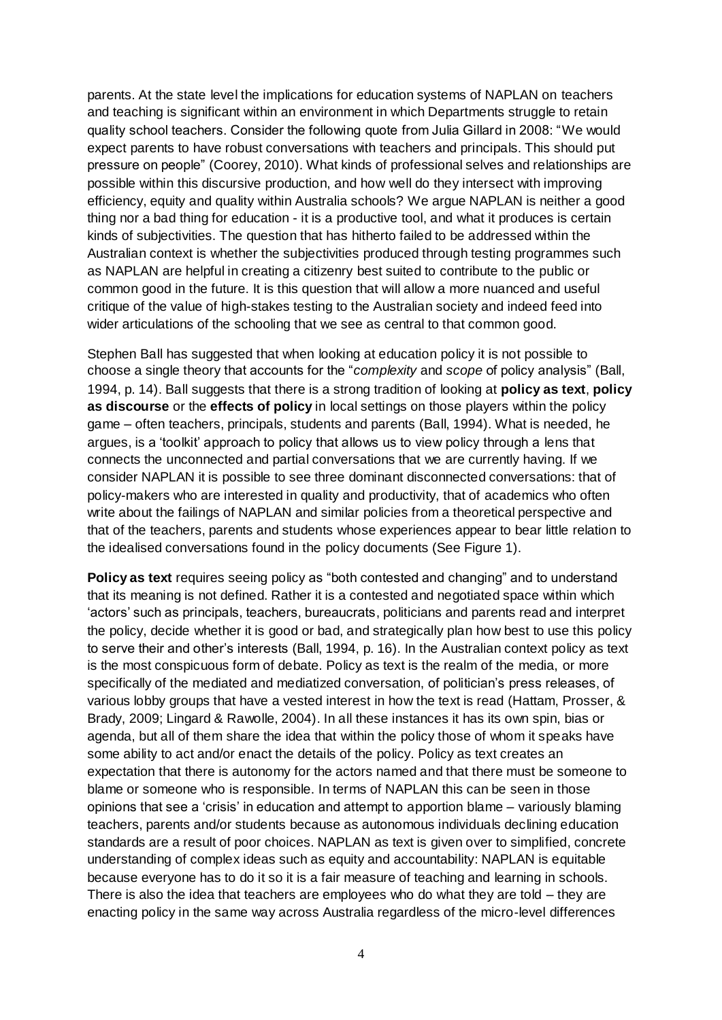parents. At the state level the implications for education systems of NAPLAN on teachers and teaching is significant within an environment in which Departments struggle to retain quality school teachers. Consider the following quote from Julia Gillard in 2008: "We would expect parents to have robust conversations with teachers and principals. This should put pressure on people" (Coorey, 2010). What kinds of professional selves and relationships are possible within this discursive production, and how well do they intersect with improving efficiency, equity and quality within Australia schools? We argue NAPLAN is neither a good thing nor a bad thing for education - it is a productive tool, and what it produces is certain kinds of subjectivities. The question that has hitherto failed to be addressed within the Australian context is whether the subjectivities produced through testing programmes such as NAPLAN are helpful in creating a citizenry best suited to contribute to the public or common good in the future. It is this question that will allow a more nuanced and useful critique of the value of high-stakes testing to the Australian society and indeed feed into wider articulations of the schooling that we see as central to that common good.

Stephen Ball has suggested that when looking at education policy it is not possible to choose a single theory that accounts for the "*complexity* and *scope* of policy analysis" (Ball, 1994, p. 14). Ball suggests that there is a strong tradition of looking at **policy as text**, **policy as discourse** or the **effects of policy** in local settings on those players within the policy game – often teachers, principals, students and parents (Ball, 1994). What is needed, he argues, is a ‗toolkit' approach to policy that allows us to view policy through a lens that connects the unconnected and partial conversations that we are currently having. If we consider NAPLAN it is possible to see three dominant disconnected conversations: that of policy-makers who are interested in quality and productivity, that of academics who often write about the failings of NAPLAN and similar policies from a theoretical perspective and that of the teachers, parents and students whose experiences appear to bear little relation to the idealised conversations found in the policy documents (See Figure 1).

**Policy as text** requires seeing policy as "both contested and changing" and to understand that its meaning is not defined. Rather it is a contested and negotiated space within which ‗actors' such as principals, teachers, bureaucrats, politicians and parents read and interpret the policy, decide whether it is good or bad, and strategically plan how best to use this policy to serve their and other's interests (Ball, 1994, p. 16). In the Australian context policy as text is the most conspicuous form of debate. Policy as text is the realm of the media, or more specifically of the mediated and mediatized conversation, of politician's press releases, of various lobby groups that have a vested interest in how the text is read (Hattam, Prosser, & Brady, 2009; Lingard & Rawolle, 2004). In all these instances it has its own spin, bias or agenda, but all of them share the idea that within the policy those of whom it speaks have some ability to act and/or enact the details of the policy. Policy as text creates an expectation that there is autonomy for the actors named and that there must be someone to blame or someone who is responsible. In terms of NAPLAN this can be seen in those opinions that see a ‗crisis' in education and attempt to apportion blame – variously blaming teachers, parents and/or students because as autonomous individuals declining education standards are a result of poor choices. NAPLAN as text is given over to simplified, concrete understanding of complex ideas such as equity and accountability: NAPLAN is equitable because everyone has to do it so it is a fair measure of teaching and learning in schools. There is also the idea that teachers are employees who do what they are told – they are enacting policy in the same way across Australia regardless of the micro-level differences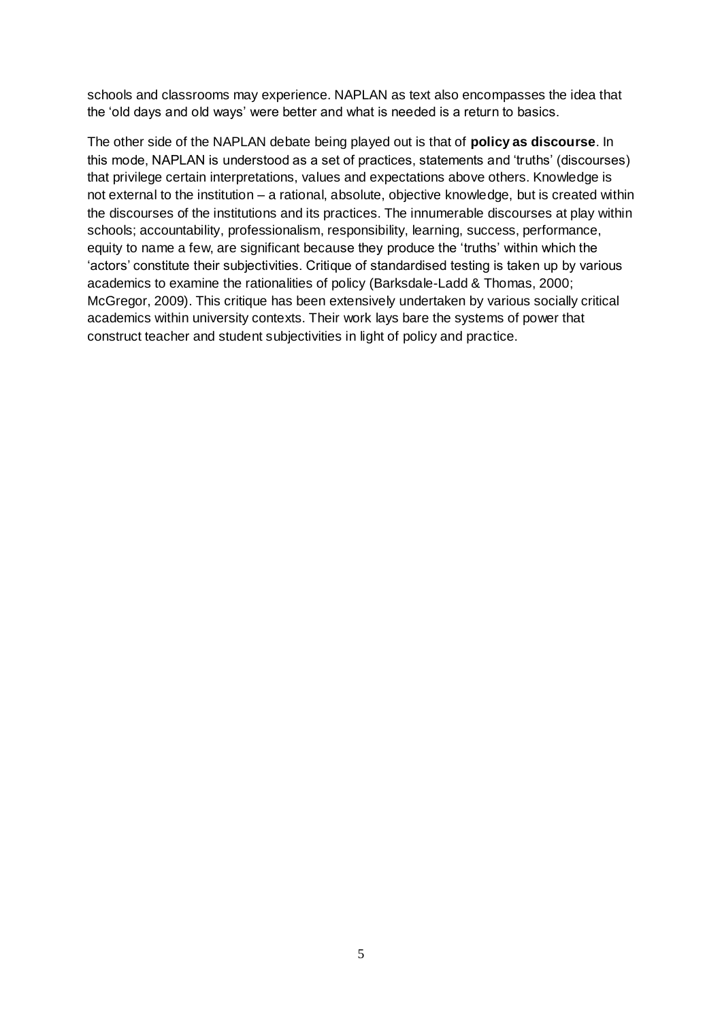schools and classrooms may experience. NAPLAN as text also encompasses the idea that the 'old days and old ways' were better and what is needed is a return to basics.

The other side of the NAPLAN debate being played out is that of **policy as discourse**. In this mode, NAPLAN is understood as a set of practices, statements and 'truths' (discourses) that privilege certain interpretations, values and expectations above others. Knowledge is not external to the institution – a rational, absolute, objective knowledge, but is created within the discourses of the institutions and its practices. The innumerable discourses at play within schools; accountability, professionalism, responsibility, learning, success, performance, equity to name a few, are significant because they produce the 'truths' within which the ‗actors' constitute their subjectivities. Critique of standardised testing is taken up by various academics to examine the rationalities of policy (Barksdale-Ladd & Thomas, 2000; McGregor, 2009). This critique has been extensively undertaken by various socially critical academics within university contexts. Their work lays bare the systems of power that construct teacher and student subjectivities in light of policy and practice.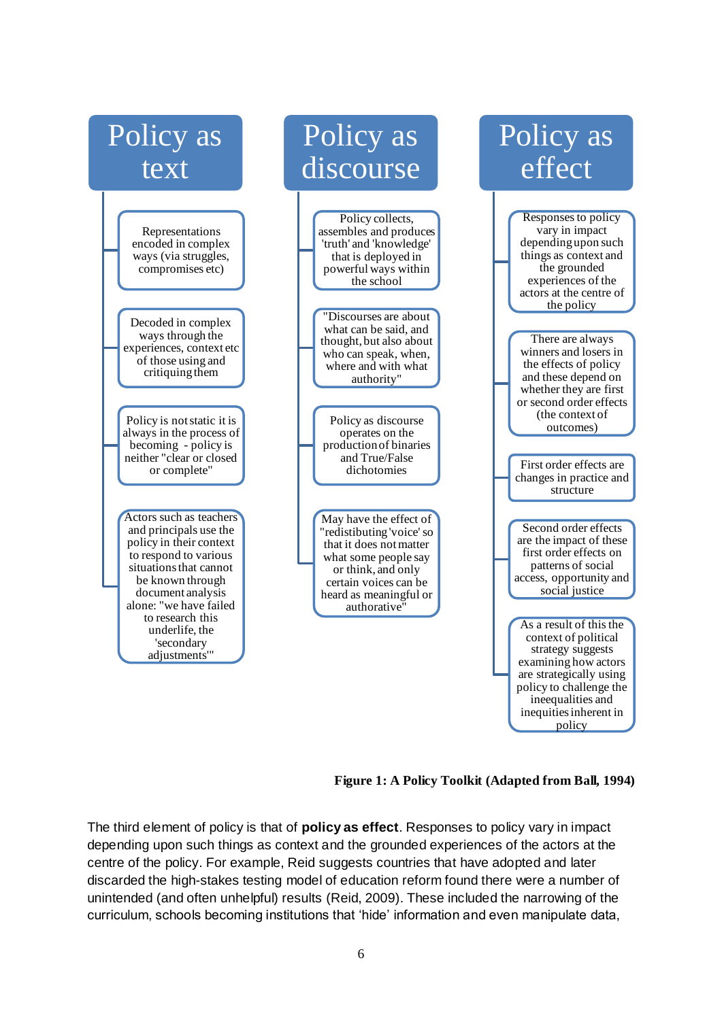

**Figure 1: A Policy Toolkit (Adapted from Ball, 1994)**

The third element of policy is that of **policy as effect**. Responses to policy vary in impact depending upon such things as context and the grounded experiences of the actors at the centre of the policy. For example, Reid suggests countries that have adopted and later discarded the high-stakes testing model of education reform found there were a number of unintended (and often unhelpful) results (Reid, 2009). These included the narrowing of the curriculum, schools becoming institutions that ‗hide' information and even manipulate data,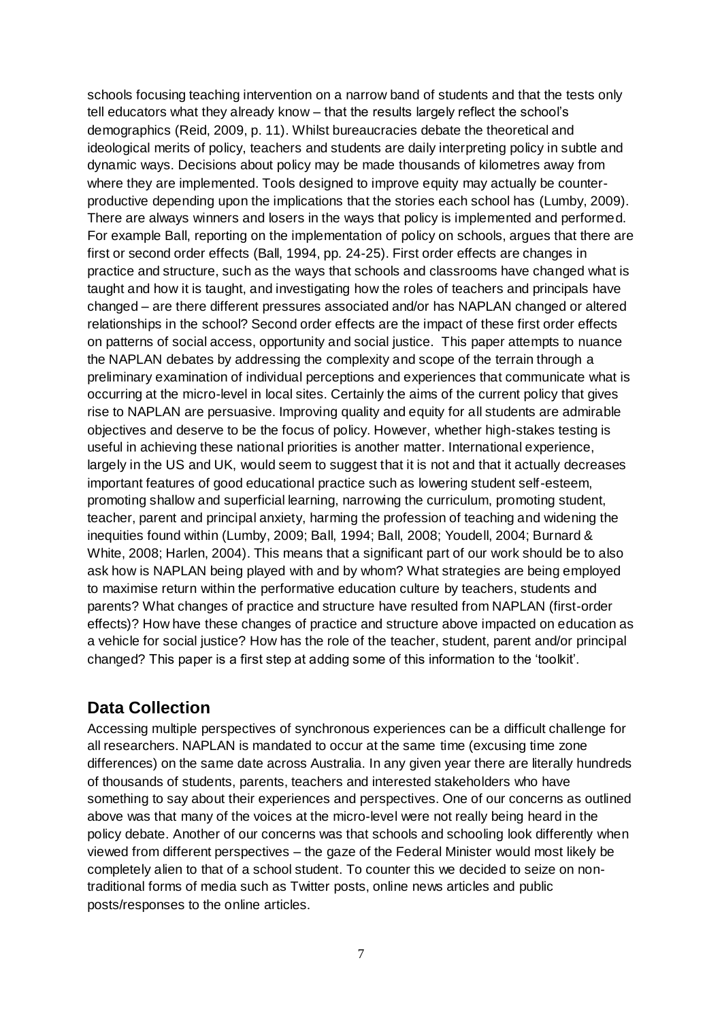schools focusing teaching intervention on a narrow band of students and that the tests only tell educators what they already know – that the results largely reflect the school's demographics (Reid, 2009, p. 11). Whilst bureaucracies debate the theoretical and ideological merits of policy, teachers and students are daily interpreting policy in subtle and dynamic ways. Decisions about policy may be made thousands of kilometres away from where they are implemented. Tools designed to improve equity may actually be counterproductive depending upon the implications that the stories each school has (Lumby, 2009). There are always winners and losers in the ways that policy is implemented and performed. For example Ball, reporting on the implementation of policy on schools, argues that there are first or second order effects (Ball, 1994, pp. 24-25). First order effects are changes in practice and structure, such as the ways that schools and classrooms have changed what is taught and how it is taught, and investigating how the roles of teachers and principals have changed – are there different pressures associated and/or has NAPLAN changed or altered relationships in the school? Second order effects are the impact of these first order effects on patterns of social access, opportunity and social justice. This paper attempts to nuance the NAPLAN debates by addressing the complexity and scope of the terrain through a preliminary examination of individual perceptions and experiences that communicate what is occurring at the micro-level in local sites. Certainly the aims of the current policy that gives rise to NAPLAN are persuasive. Improving quality and equity for all students are admirable objectives and deserve to be the focus of policy. However, whether high-stakes testing is useful in achieving these national priorities is another matter. International experience, largely in the US and UK, would seem to suggest that it is not and that it actually decreases important features of good educational practice such as lowering student self-esteem, promoting shallow and superficial learning, narrowing the curriculum, promoting student, teacher, parent and principal anxiety, harming the profession of teaching and widening the inequities found within (Lumby, 2009; Ball, 1994; Ball, 2008; Youdell, 2004; Burnard & White, 2008; Harlen, 2004). This means that a significant part of our work should be to also ask how is NAPLAN being played with and by whom? What strategies are being employed to maximise return within the performative education culture by teachers, students and parents? What changes of practice and structure have resulted from NAPLAN (first-order effects)? How have these changes of practice and structure above impacted on education as a vehicle for social justice? How has the role of the teacher, student, parent and/or principal changed? This paper is a first step at adding some of this information to the 'toolkit'.

# **Data Collection**

Accessing multiple perspectives of synchronous experiences can be a difficult challenge for all researchers. NAPLAN is mandated to occur at the same time (excusing time zone differences) on the same date across Australia. In any given year there are literally hundreds of thousands of students, parents, teachers and interested stakeholders who have something to say about their experiences and perspectives. One of our concerns as outlined above was that many of the voices at the micro-level were not really being heard in the policy debate. Another of our concerns was that schools and schooling look differently when viewed from different perspectives – the gaze of the Federal Minister would most likely be completely alien to that of a school student. To counter this we decided to seize on nontraditional forms of media such as Twitter posts, online news articles and public posts/responses to the online articles.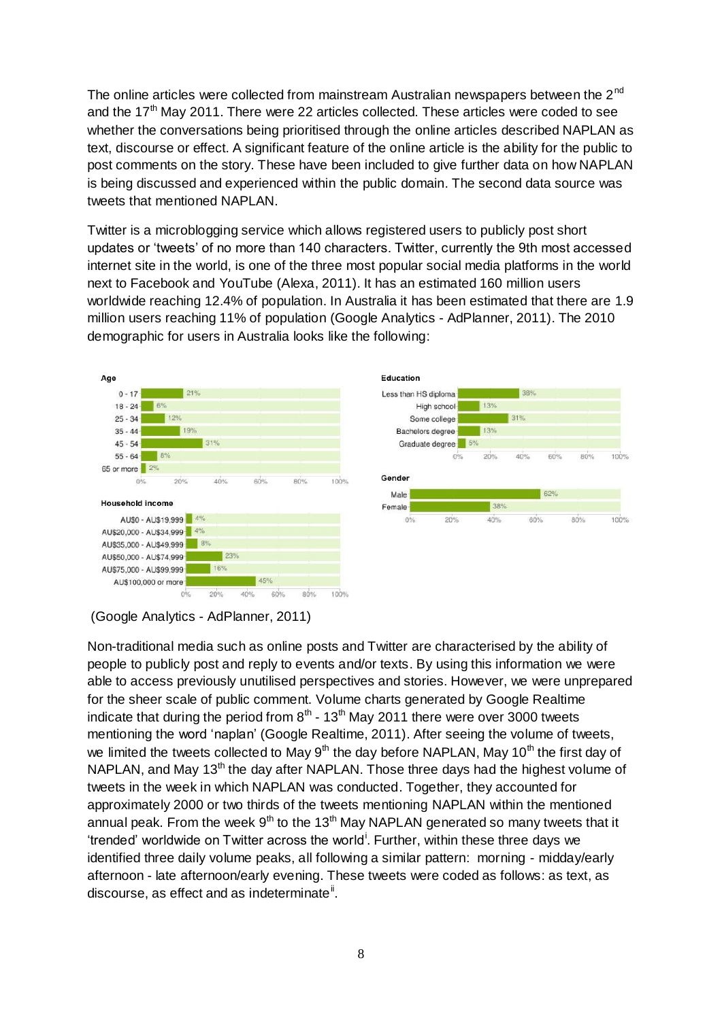The online articles were collected from mainstream Australian newspapers between the  $2<sup>nd</sup>$ and the  $17<sup>th</sup>$  May 2011. There were 22 articles collected. These articles were coded to see whether the conversations being prioritised through the online articles described NAPLAN as text, discourse or effect. A significant feature of the online article is the ability for the public to post comments on the story. These have been included to give further data on how NAPLAN is being discussed and experienced within the public domain. The second data source was tweets that mentioned NAPLAN.

Twitter is a microblogging service which allows registered users to publicly post short updates or 'tweets' of no more than 140 characters. Twitter, currently the 9th most accessed internet site in the world, is one of the three most popular social media platforms in the world next to Facebook and YouTube (Alexa, 2011). It has an estimated 160 million users worldwide reaching 12.4% of population. In Australia it has been estimated that there are 1.9 million users reaching 11% of population (Google Analytics - AdPlanner, 2011). The 2010 demographic for users in Australia looks like the following:





Non-traditional media such as online posts and Twitter are characterised by the ability of people to publicly post and reply to events and/or texts. By using this information we were able to access previously unutilised perspectives and stories. However, we were unprepared for the sheer scale of public comment. Volume charts generated by Google Realtime indicate that during the period from  $8<sup>th</sup>$  - 13<sup>th</sup> May 2011 there were over 3000 tweets mentioning the word 'naplan' (Google Realtime, 2011). After seeing the volume of tweets, we limited the tweets collected to May  $9<sup>th</sup>$  the day before NAPLAN, May 10<sup>th</sup> the first day of NAPLAN, and May  $13<sup>th</sup>$  the day after NAPLAN. Those three days had the highest volume of tweets in the week in which NAPLAN was conducted. Together, they accounted for approximately 2000 or two thirds of the tweets mentioning NAPLAN within the mentioned annual peak. From the week  $9<sup>th</sup>$  to the 13<sup>th</sup> May NAPLAN generated so many tweets that it 'trended' worldwide on Twitter across the world<sup>i</sup>. Further, within these three days we identified three daily volume peaks, all following a similar pattern: morning - midday/early afternoon - late afternoon/early evening. These tweets were coded as follows: as text, as discourse, as effect and as indeterminate<sup>ii</sup>.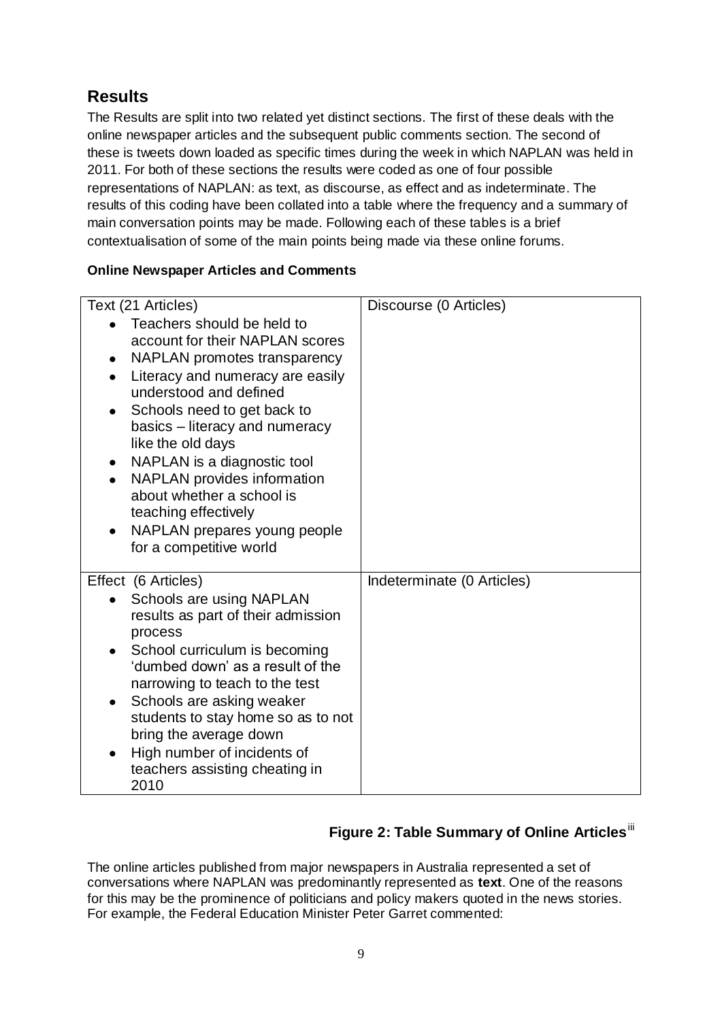# **Results**

The Results are split into two related yet distinct sections. The first of these deals with the online newspaper articles and the subsequent public comments section. The second of these is tweets down loaded as specific times during the week in which NAPLAN was held in 2011. For both of these sections the results were coded as one of four possible representations of NAPLAN: as text, as discourse, as effect and as indeterminate. The results of this coding have been collated into a table where the frequency and a summary of main conversation points may be made. Following each of these tables is a brief contextualisation of some of the main points being made via these online forums.

#### **Online Newspaper Articles and Comments**

| Text (21 Articles)                                                                                                                                                                                                                                                                                                                                                                                                                                                               | Discourse (0 Articles)     |
|----------------------------------------------------------------------------------------------------------------------------------------------------------------------------------------------------------------------------------------------------------------------------------------------------------------------------------------------------------------------------------------------------------------------------------------------------------------------------------|----------------------------|
| Teachers should be held to<br>account for their NAPLAN scores<br>NAPLAN promotes transparency<br>$\bullet$<br>Literacy and numeracy are easily<br>٠<br>understood and defined<br>Schools need to get back to<br>٠<br>basics – literacy and numeracy<br>like the old days<br>NAPLAN is a diagnostic tool<br>NAPLAN provides information<br>$\bullet$<br>about whether a school is<br>teaching effectively<br>NAPLAN prepares young people<br>$\bullet$<br>for a competitive world |                            |
| Effect (6 Articles)<br>Schools are using NAPLAN<br>results as part of their admission<br>process<br>School curriculum is becoming<br>$\bullet$<br>'dumbed down' as a result of the<br>narrowing to teach to the test<br>Schools are asking weaker<br>students to stay home so as to not<br>bring the average down<br>High number of incidents of<br>teachers assisting cheating in<br>2010                                                                                       | Indeterminate (0 Articles) |

# **Figure 2: Table Summary of Online Articles**<sup>iii</sup>

The online articles published from major newspapers in Australia represented a set of conversations where NAPLAN was predominantly represented as **text**. One of the reasons for this may be the prominence of politicians and policy makers quoted in the news stories. For example, the Federal Education Minister Peter Garret commented: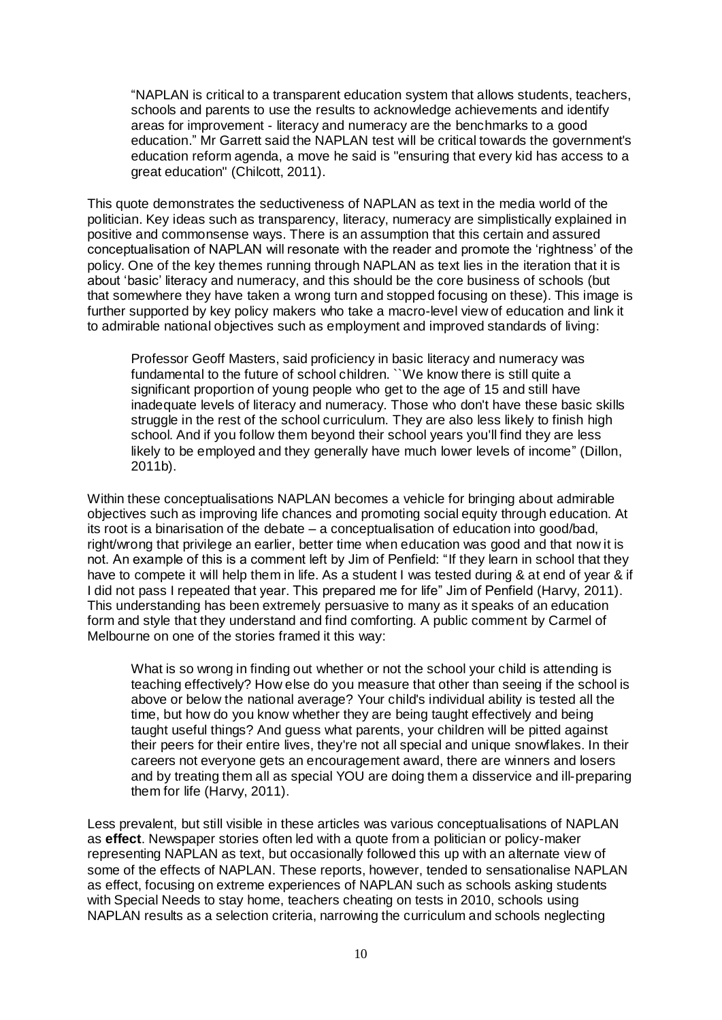―NAPLAN is critical to a transparent education system that allows students, teachers, schools and parents to use the results to acknowledge achievements and identify areas for improvement - literacy and numeracy are the benchmarks to a good education." Mr Garrett said the NAPLAN test will be critical towards the government's education reform agenda, a move he said is "ensuring that every kid has access to a great education" (Chilcott, 2011).

This quote demonstrates the seductiveness of NAPLAN as text in the media world of the politician. Key ideas such as transparency, literacy, numeracy are simplistically explained in positive and commonsense ways. There is an assumption that this certain and assured conceptualisation of NAPLAN will resonate with the reader and promote the ‗rightness' of the policy. One of the key themes running through NAPLAN as text lies in the iteration that it is about 'basic' literacy and numeracy, and this should be the core business of schools (but that somewhere they have taken a wrong turn and stopped focusing on these). This image is further supported by key policy makers who take a macro-level view of education and link it to admirable national objectives such as employment and improved standards of living:

Professor Geoff Masters, said proficiency in basic literacy and numeracy was fundamental to the future of school children. ``We know there is still quite a significant proportion of young people who get to the age of 15 and still have inadequate levels of literacy and numeracy. Those who don't have these basic skills struggle in the rest of the school curriculum. They are also less likely to finish high school. And if you follow them beyond their school years you'll find they are less likely to be employed and they generally have much lower levels of income" (Dillon, 2011b).

Within these conceptualisations NAPLAN becomes a vehicle for bringing about admirable objectives such as improving life chances and promoting social equity through education. At its root is a binarisation of the debate – a conceptualisation of education into good/bad, right/wrong that privilege an earlier, better time when education was good and that now it is not. An example of this is a comment left by Jim of Penfield: "If they learn in school that they have to compete it will help them in life. As a student I was tested during & at end of year & if I did not pass I repeated that year. This prepared me for life" Jim of Penfield (Harvy, 2011). This understanding has been extremely persuasive to many as it speaks of an education form and style that they understand and find comforting. A public comment by Carmel of Melbourne on one of the stories framed it this way:

What is so wrong in finding out whether or not the school your child is attending is teaching effectively? How else do you measure that other than seeing if the school is above or below the national average? Your child's individual ability is tested all the time, but how do you know whether they are being taught effectively and being taught useful things? And guess what parents, your children will be pitted against their peers for their entire lives, they're not all special and unique snowflakes. In their careers not everyone gets an encouragement award, there are winners and losers and by treating them all as special YOU are doing them a disservice and ill-preparing them for life (Harvy, 2011).

Less prevalent, but still visible in these articles was various conceptualisations of NAPLAN as **effect**. Newspaper stories often led with a quote from a politician or policy-maker representing NAPLAN as text, but occasionally followed this up with an alternate view of some of the effects of NAPLAN. These reports, however, tended to sensationalise NAPLAN as effect, focusing on extreme experiences of NAPLAN such as schools asking students with Special Needs to stay home, teachers cheating on tests in 2010, schools using NAPLAN results as a selection criteria, narrowing the curriculum and schools neglecting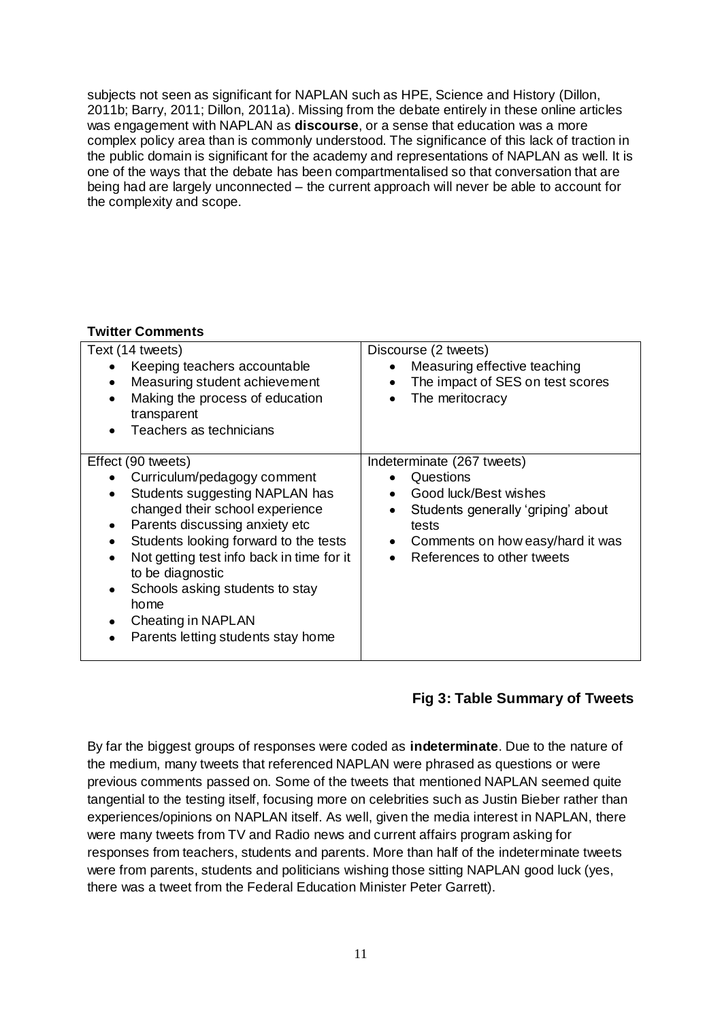subjects not seen as significant for NAPLAN such as HPE, Science and History (Dillon, 2011b; Barry, 2011; Dillon, 2011a). Missing from the debate entirely in these online articles was engagement with NAPLAN as **discourse**, or a sense that education was a more complex policy area than is commonly understood. The significance of this lack of traction in the public domain is significant for the academy and representations of NAPLAN as well. It is one of the ways that the debate has been compartmentalised so that conversation that are being had are largely unconnected – the current approach will never be able to account for the complexity and scope.

#### **Twitter Comments**

| Text (14 tweets)                                                                                                                                                                                                                                                                                                                                                                            | Discourse (2 tweets)                                                                                                                                                                                |
|---------------------------------------------------------------------------------------------------------------------------------------------------------------------------------------------------------------------------------------------------------------------------------------------------------------------------------------------------------------------------------------------|-----------------------------------------------------------------------------------------------------------------------------------------------------------------------------------------------------|
| Keeping teachers accountable                                                                                                                                                                                                                                                                                                                                                                | Measuring effective teaching                                                                                                                                                                        |
| Measuring student achievement                                                                                                                                                                                                                                                                                                                                                               | $\bullet$                                                                                                                                                                                           |
| ٠                                                                                                                                                                                                                                                                                                                                                                                           | The impact of SES on test scores                                                                                                                                                                    |
| Making the process of education                                                                                                                                                                                                                                                                                                                                                             | ٠                                                                                                                                                                                                   |
| transparent                                                                                                                                                                                                                                                                                                                                                                                 | The meritocracy                                                                                                                                                                                     |
| Teachers as technicians                                                                                                                                                                                                                                                                                                                                                                     | ٠                                                                                                                                                                                                   |
| Effect (90 tweets)<br>Curriculum/pedagogy comment<br>Students suggesting NAPLAN has<br>$\bullet$<br>changed their school experience<br>Parents discussing anxiety etc<br>٠<br>Students looking forward to the tests<br>Not getting test info back in time for it<br>to be diagnostic<br>Schools asking students to stay<br>home<br>Cheating in NAPLAN<br>Parents letting students stay home | Indeterminate (267 tweets)<br>Questions<br>Good luck/Best wishes<br>Students generally 'griping' about<br>tests<br>Comments on how easy/hard it was<br>٠<br>References to other tweets<br>$\bullet$ |

### **Fig 3: Table Summary of Tweets**

By far the biggest groups of responses were coded as **indeterminate**. Due to the nature of the medium, many tweets that referenced NAPLAN were phrased as questions or were previous comments passed on. Some of the tweets that mentioned NAPLAN seemed quite tangential to the testing itself, focusing more on celebrities such as Justin Bieber rather than experiences/opinions on NAPLAN itself. As well, given the media interest in NAPLAN, there were many tweets from TV and Radio news and current affairs program asking for responses from teachers, students and parents. More than half of the indeterminate tweets were from parents, students and politicians wishing those sitting NAPLAN good luck (yes, there was a tweet from the Federal Education Minister Peter Garrett).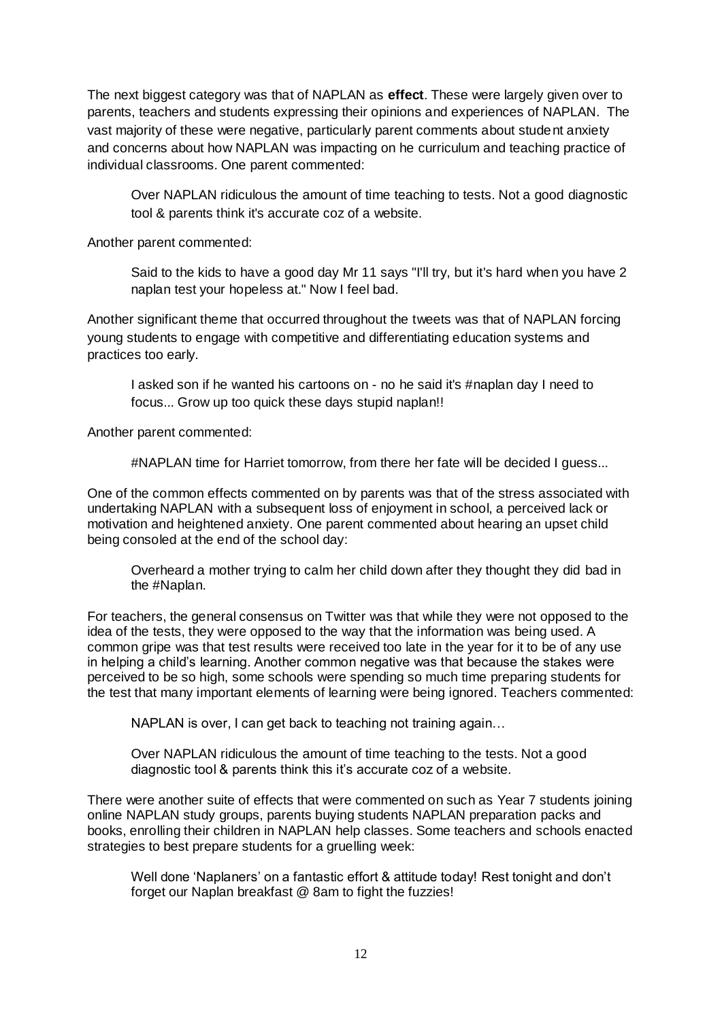The next biggest category was that of NAPLAN as **effect**. These were largely given over to parents, teachers and students expressing their opinions and experiences of NAPLAN. The vast majority of these were negative, particularly parent comments about student anxiety and concerns about how NAPLAN was impacting on he curriculum and teaching practice of individual classrooms. One parent commented:

Over NAPLAN ridiculous the amount of time teaching to tests. Not a good diagnostic tool & parents think it's accurate coz of a website.

Another parent commented:

Said to the kids to have a good day Mr 11 says "I'll try, but it's hard when you have 2 naplan test your hopeless at." Now I feel bad.

Another significant theme that occurred throughout the tweets was that of NAPLAN forcing young students to engage with competitive and differentiating education systems and practices too early.

I asked son if he wanted his cartoons on - no he said it's #naplan day I need to focus... Grow up too quick these days stupid naplan!!

Another parent commented:

#NAPLAN time for Harriet tomorrow, from there her fate will be decided I guess...

One of the common effects commented on by parents was that of the stress associated with undertaking NAPLAN with a subsequent loss of enjoyment in school, a perceived lack or motivation and heightened anxiety. One parent commented about hearing an upset child being consoled at the end of the school day:

Overheard a mother trying to calm her child down after they thought they did bad in the #Naplan.

For teachers, the general consensus on Twitter was that while they were not opposed to the idea of the tests, they were opposed to the way that the information was being used. A common gripe was that test results were received too late in the year for it to be of any use in helping a child's learning. Another common negative was that because the stakes were perceived to be so high, some schools were spending so much time preparing students for the test that many important elements of learning were being ignored. Teachers commented:

NAPLAN is over, I can get back to teaching not training again…

Over NAPLAN ridiculous the amount of time teaching to the tests. Not a good diagnostic tool & parents think this it's accurate coz of a website.

There were another suite of effects that were commented on such as Year 7 students joining online NAPLAN study groups, parents buying students NAPLAN preparation packs and books, enrolling their children in NAPLAN help classes. Some teachers and schools enacted strategies to best prepare students for a gruelling week:

Well done 'Naplaners' on a fantastic effort & attitude today! Rest tonight and don't forget our Naplan breakfast @ 8am to fight the fuzzies!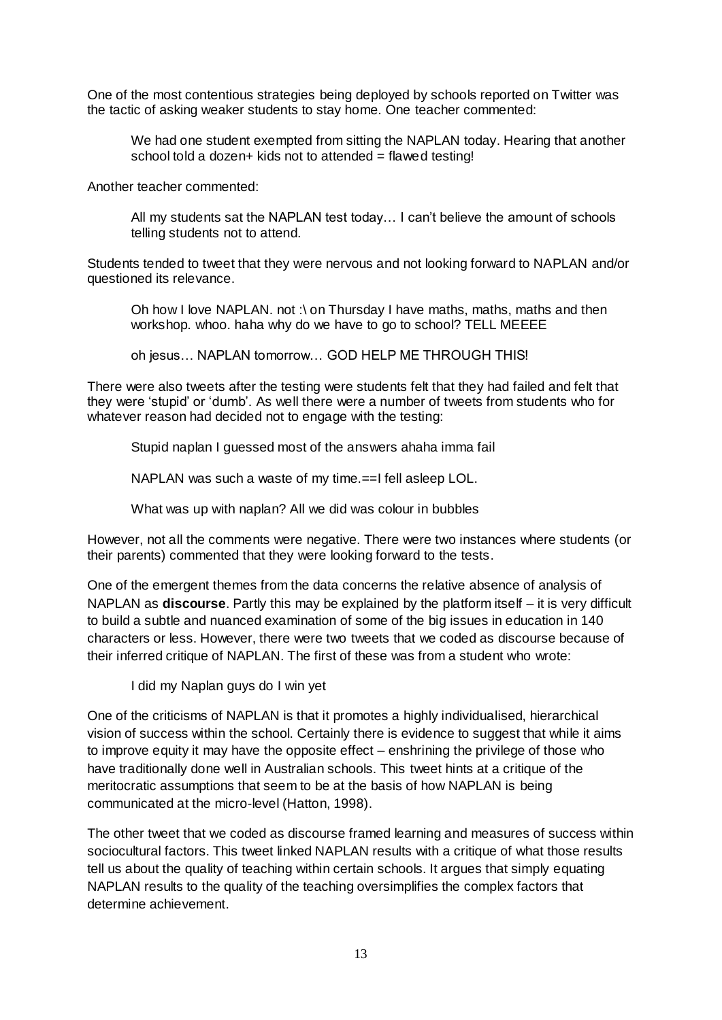One of the most contentious strategies being deployed by schools reported on Twitter was the tactic of asking weaker students to stay home. One teacher commented:

We had one student exempted from sitting the NAPLAN today. Hearing that another school told a dozen+ kids not to attended = flawed testing!

Another teacher commented:

All my students sat the NAPLAN test today… I can't believe the amount of schools telling students not to attend.

Students tended to tweet that they were nervous and not looking forward to NAPLAN and/or questioned its relevance.

Oh how I love NAPLAN. not :\ on Thursday I have maths, maths, maths and then workshop. whoo. haha why do we have to go to school? TELL MEEEE

oh jesus… NAPLAN tomorrow… GOD HELP ME THROUGH THIS!

There were also tweets after the testing were students felt that they had failed and felt that they were ‗stupid' or ‗dumb'. As well there were a number of tweets from students who for whatever reason had decided not to engage with the testing:

Stupid naplan I guessed most of the answers ahaha imma fail

NAPLAN was such a waste of my time.==I fell asleep LOL.

What was up with naplan? All we did was colour in bubbles

However, not all the comments were negative. There were two instances where students (or their parents) commented that they were looking forward to the tests.

One of the emergent themes from the data concerns the relative absence of analysis of NAPLAN as **discourse**. Partly this may be explained by the platform itself – it is very difficult to build a subtle and nuanced examination of some of the big issues in education in 140 characters or less. However, there were two tweets that we coded as discourse because of their inferred critique of NAPLAN. The first of these was from a student who wrote:

I did my Naplan guys do I win yet

One of the criticisms of NAPLAN is that it promotes a highly individualised, hierarchical vision of success within the school. Certainly there is evidence to suggest that while it aims to improve equity it may have the opposite effect – enshrining the privilege of those who have traditionally done well in Australian schools. This tweet hints at a critique of the meritocratic assumptions that seem to be at the basis of how NAPLAN is being communicated at the micro-level (Hatton, 1998).

The other tweet that we coded as discourse framed learning and measures of success within sociocultural factors. This tweet linked NAPLAN results with a critique of what those results tell us about the quality of teaching within certain schools. It argues that simply equating NAPLAN results to the quality of the teaching oversimplifies the complex factors that determine achievement.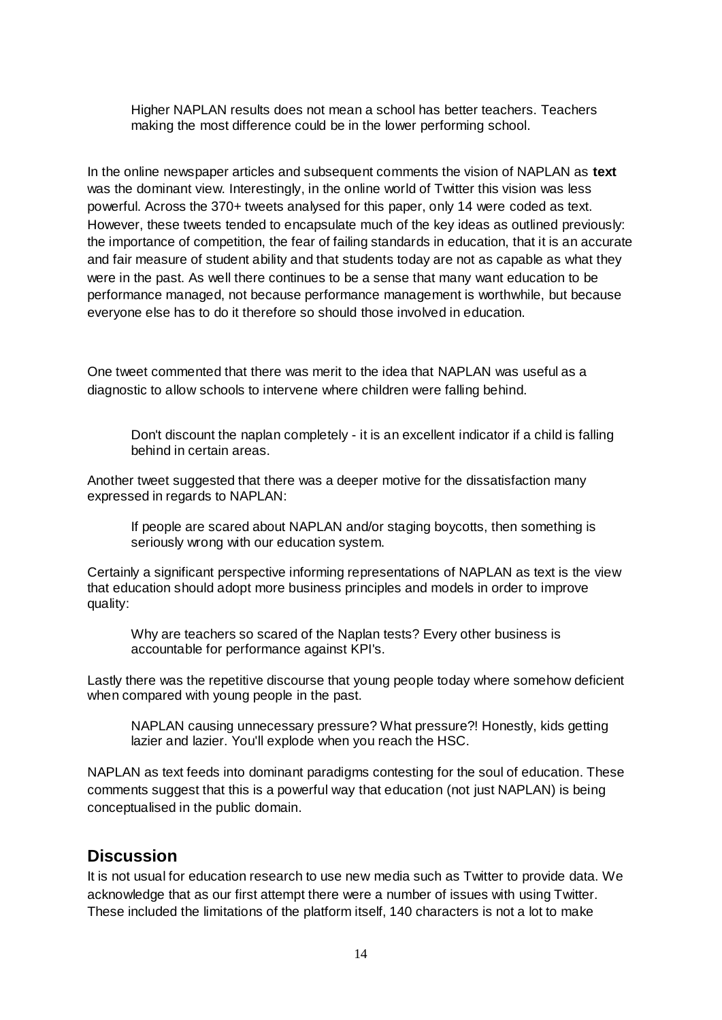Higher NAPLAN results does not mean a school has better teachers. Teachers making the most difference could be in the lower performing school.

In the online newspaper articles and subsequent comments the vision of NAPLAN as **text** was the dominant view. Interestingly, in the online world of Twitter this vision was less powerful. Across the 370+ tweets analysed for this paper, only 14 were coded as text. However, these tweets tended to encapsulate much of the key ideas as outlined previously: the importance of competition, the fear of failing standards in education, that it is an accurate and fair measure of student ability and that students today are not as capable as what they were in the past. As well there continues to be a sense that many want education to be performance managed, not because performance management is worthwhile, but because everyone else has to do it therefore so should those involved in education.

One tweet commented that there was merit to the idea that NAPLAN was useful as a diagnostic to allow schools to intervene where children were falling behind.

Don't discount the naplan completely - it is an excellent indicator if a child is falling behind in certain areas.

Another tweet suggested that there was a deeper motive for the dissatisfaction many expressed in regards to NAPLAN:

If people are scared about NAPLAN and/or staging boycotts, then something is seriously wrong with our education system.

Certainly a significant perspective informing representations of NAPLAN as text is the view that education should adopt more business principles and models in order to improve quality:

Why are teachers so scared of the Naplan tests? Every other business is accountable for performance against KPI's.

Lastly there was the repetitive discourse that young people today where somehow deficient when compared with young people in the past.

NAPLAN causing unnecessary pressure? What pressure?! Honestly, kids getting lazier and lazier. You'll explode when you reach the HSC.

NAPLAN as text feeds into dominant paradigms contesting for the soul of education. These comments suggest that this is a powerful way that education (not just NAPLAN) is being conceptualised in the public domain.

## **Discussion**

It is not usual for education research to use new media such as Twitter to provide data. We acknowledge that as our first attempt there were a number of issues with using Twitter. These included the limitations of the platform itself, 140 characters is not a lot to make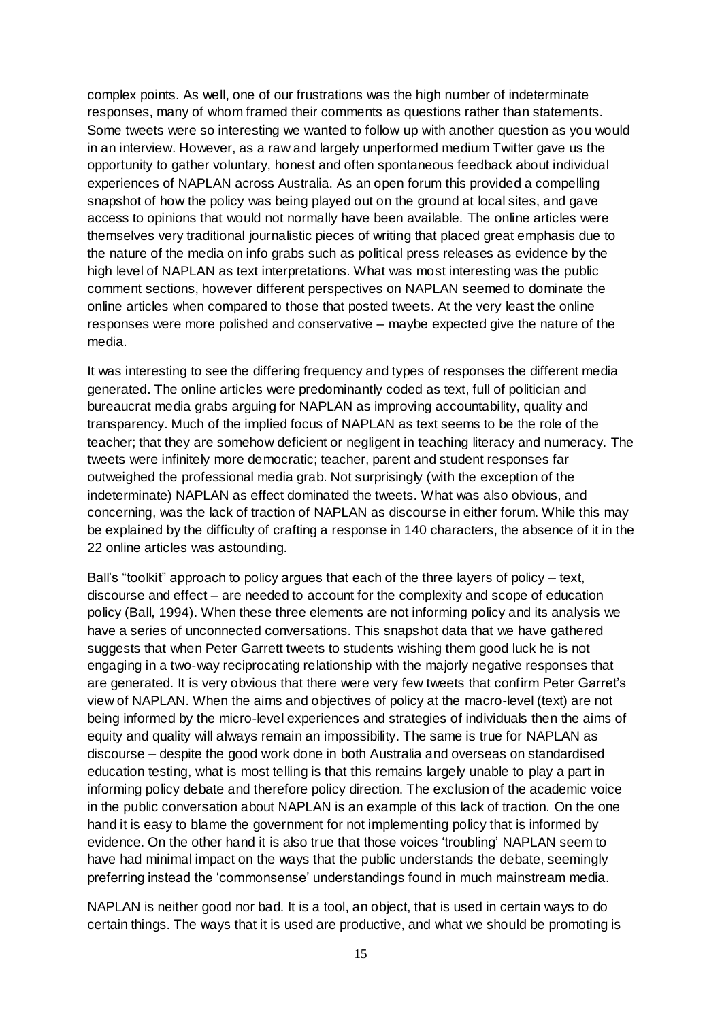complex points. As well, one of our frustrations was the high number of indeterminate responses, many of whom framed their comments as questions rather than statements. Some tweets were so interesting we wanted to follow up with another question as you would in an interview. However, as a raw and largely unperformed medium Twitter gave us the opportunity to gather voluntary, honest and often spontaneous feedback about individual experiences of NAPLAN across Australia. As an open forum this provided a compelling snapshot of how the policy was being played out on the ground at local sites, and gave access to opinions that would not normally have been available. The online articles were themselves very traditional journalistic pieces of writing that placed great emphasis due to the nature of the media on info grabs such as political press releases as evidence by the high level of NAPLAN as text interpretations. What was most interesting was the public comment sections, however different perspectives on NAPLAN seemed to dominate the online articles when compared to those that posted tweets. At the very least the online responses were more polished and conservative – maybe expected give the nature of the media.

It was interesting to see the differing frequency and types of responses the different media generated. The online articles were predominantly coded as text, full of politician and bureaucrat media grabs arguing for NAPLAN as improving accountability, quality and transparency. Much of the implied focus of NAPLAN as text seems to be the role of the teacher; that they are somehow deficient or negligent in teaching literacy and numeracy. The tweets were infinitely more democratic; teacher, parent and student responses far outweighed the professional media grab. Not surprisingly (with the exception of the indeterminate) NAPLAN as effect dominated the tweets. What was also obvious, and concerning, was the lack of traction of NAPLAN as discourse in either forum. While this may be explained by the difficulty of crafting a response in 140 characters, the absence of it in the 22 online articles was astounding.

Ball's "toolkit" approach to policy argues that each of the three layers of policy – text, discourse and effect – are needed to account for the complexity and scope of education policy (Ball, 1994). When these three elements are not informing policy and its analysis we have a series of unconnected conversations. This snapshot data that we have gathered suggests that when Peter Garrett tweets to students wishing them good luck he is not engaging in a two-way reciprocating relationship with the majorly negative responses that are generated. It is very obvious that there were very few tweets that confirm Peter Garret's view of NAPLAN. When the aims and objectives of policy at the macro-level (text) are not being informed by the micro-level experiences and strategies of individuals then the aims of equity and quality will always remain an impossibility. The same is true for NAPLAN as discourse – despite the good work done in both Australia and overseas on standardised education testing, what is most telling is that this remains largely unable to play a part in informing policy debate and therefore policy direction. The exclusion of the academic voice in the public conversation about NAPLAN is an example of this lack of traction. On the one hand it is easy to blame the government for not implementing policy that is informed by evidence. On the other hand it is also true that those voices 'troubling' NAPLAN seem to have had minimal impact on the ways that the public understands the debate, seemingly preferring instead the 'commonsense' understandings found in much mainstream media.

NAPLAN is neither good nor bad. It is a tool, an object, that is used in certain ways to do certain things. The ways that it is used are productive, and what we should be promoting is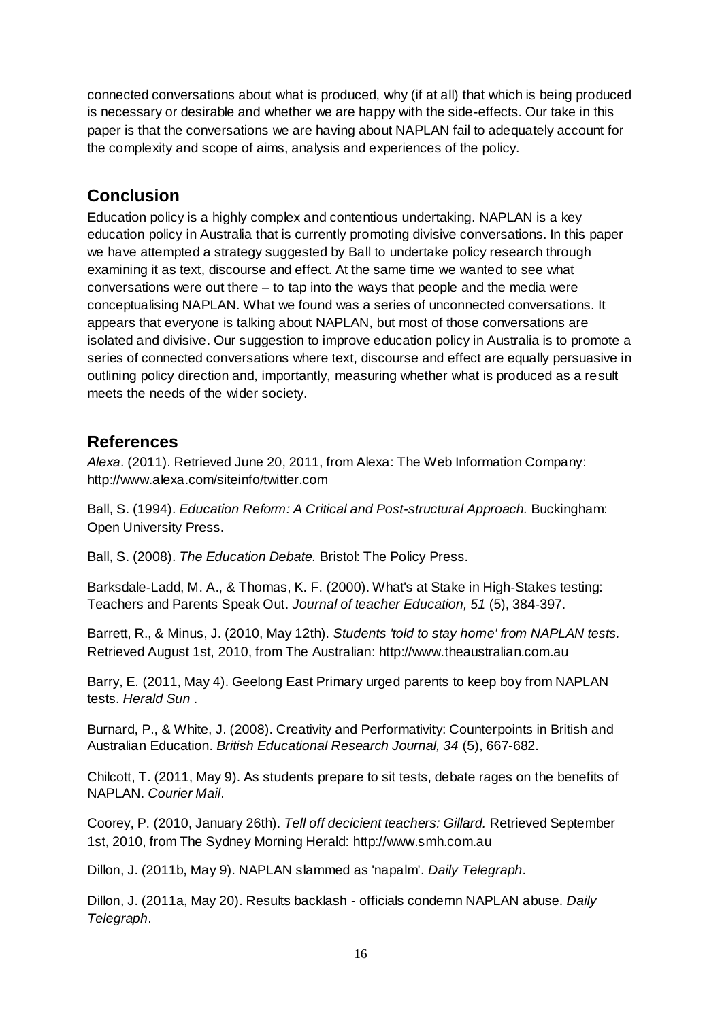connected conversations about what is produced, why (if at all) that which is being produced is necessary or desirable and whether we are happy with the side-effects. Our take in this paper is that the conversations we are having about NAPLAN fail to adequately account for the complexity and scope of aims, analysis and experiences of the policy.

# **Conclusion**

Education policy is a highly complex and contentious undertaking. NAPLAN is a key education policy in Australia that is currently promoting divisive conversations. In this paper we have attempted a strategy suggested by Ball to undertake policy research through examining it as text, discourse and effect. At the same time we wanted to see what conversations were out there – to tap into the ways that people and the media were conceptualising NAPLAN. What we found was a series of unconnected conversations. It appears that everyone is talking about NAPLAN, but most of those conversations are isolated and divisive. Our suggestion to improve education policy in Australia is to promote a series of connected conversations where text, discourse and effect are equally persuasive in outlining policy direction and, importantly, measuring whether what is produced as a result meets the needs of the wider society.

# **References**

*Alexa*. (2011). Retrieved June 20, 2011, from Alexa: The Web Information Company: http://www.alexa.com/siteinfo/twitter.com

Ball, S. (1994). *Education Reform: A Critical and Post-structural Approach.* Buckingham: Open University Press.

Ball, S. (2008). *The Education Debate.* Bristol: The Policy Press.

Barksdale-Ladd, M. A., & Thomas, K. F. (2000). What's at Stake in High-Stakes testing: Teachers and Parents Speak Out. *Journal of teacher Education, 51* (5), 384-397.

Barrett, R., & Minus, J. (2010, May 12th). *Students 'told to stay home' from NAPLAN tests.* Retrieved August 1st, 2010, from The Australian: http://www.theaustralian.com.au

Barry, E. (2011, May 4). Geelong East Primary urged parents to keep boy from NAPLAN tests. *Herald Sun* .

Burnard, P., & White, J. (2008). Creativity and Performativity: Counterpoints in British and Australian Education. *British Educational Research Journal, 34* (5), 667-682.

Chilcott, T. (2011, May 9). As students prepare to sit tests, debate rages on the benefits of NAPLAN. *Courier Mail*.

Coorey, P. (2010, January 26th). *Tell off decicient teachers: Gillard.* Retrieved September 1st, 2010, from The Sydney Morning Herald: http://www.smh.com.au

Dillon, J. (2011b, May 9). NAPLAN slammed as 'napalm'. *Daily Telegraph*.

Dillon, J. (2011a, May 20). Results backlash - officials condemn NAPLAN abuse. *Daily Telegraph*.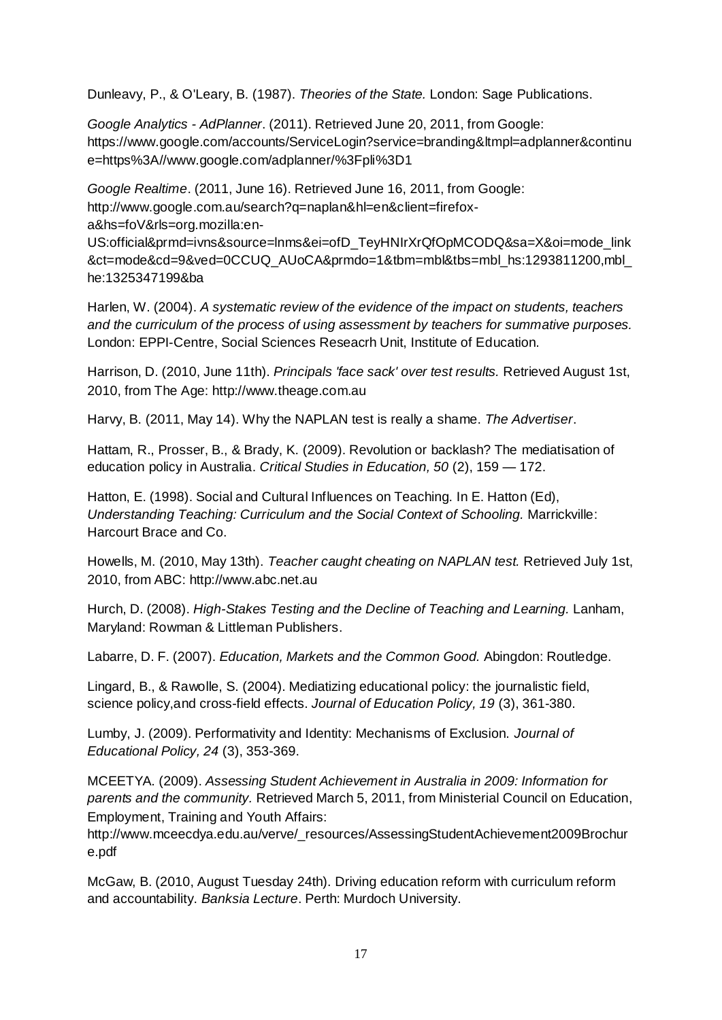Dunleavy, P., & O'Leary, B. (1987). *Theories of the State.* London: Sage Publications.

*Google Analytics - AdPlanner*. (2011). Retrieved June 20, 2011, from Google: https://www.google.com/accounts/ServiceLogin?service=branding&ltmpl=adplanner&continu e=https%3A//www.google.com/adplanner/%3Fpli%3D1

*Google Realtime*. (2011, June 16). Retrieved June 16, 2011, from Google: http://www.google.com.au/search?q=naplan&hl=en&client=firefoxa&hs=foV&rls=org.mozilla:en-US:official&prmd=ivns&source=lnms&ei=ofD\_TeyHNIrXrQfOpMCODQ&sa=X&oi=mode\_link &ct=mode&cd=9&ved=0CCUQ\_AUoCA&prmdo=1&tbm=mbl&tbs=mbl\_hs:1293811200,mbl\_

he:1325347199&ba

Harlen, W. (2004). *A systematic review of the evidence of the impact on students, teachers and the curriculum of the process of using assessment by teachers for summative purposes.* London: EPPI-Centre, Social Sciences Reseacrh Unit, Institute of Education.

Harrison, D. (2010, June 11th). *Principals 'face sack' over test results.* Retrieved August 1st, 2010, from The Age: http://www.theage.com.au

Harvy, B. (2011, May 14). Why the NAPLAN test is really a shame. *The Advertiser*.

Hattam, R., Prosser, B., & Brady, K. (2009). Revolution or backlash? The mediatisation of education policy in Australia. *Critical Studies in Education, 50* (2), 159 — 172.

Hatton, E. (1998). Social and Cultural Influences on Teaching. In E. Hatton (Ed), *Understanding Teaching: Curriculum and the Social Context of Schooling.* Marrickville: Harcourt Brace and Co.

Howells, M. (2010, May 13th). *Teacher caught cheating on NAPLAN test.* Retrieved July 1st, 2010, from ABC: http://www.abc.net.au

Hurch, D. (2008). *High-Stakes Testing and the Decline of Teaching and Learning.* Lanham, Maryland: Rowman & Littleman Publishers.

Labarre, D. F. (2007). *Education, Markets and the Common Good.* Abingdon: Routledge.

Lingard, B., & Rawolle, S. (2004). Mediatizing educational policy: the journalistic field, science policy,and cross-field effects. *Journal of Education Policy, 19* (3), 361-380.

Lumby, J. (2009). Performativity and Identity: Mechanisms of Exclusion. *Journal of Educational Policy, 24* (3), 353-369.

MCEETYA. (2009). *Assessing Student Achievement in Australia in 2009: Information for parents and the community.* Retrieved March 5, 2011, from Ministerial Council on Education, Employment, Training and Youth Affairs:

http://www.mceecdya.edu.au/verve/\_resources/AssessingStudentAchievement2009Brochur e.pdf

McGaw, B. (2010, August Tuesday 24th). Driving education reform with curriculum reform and accountability. *Banksia Lecture*. Perth: Murdoch University.